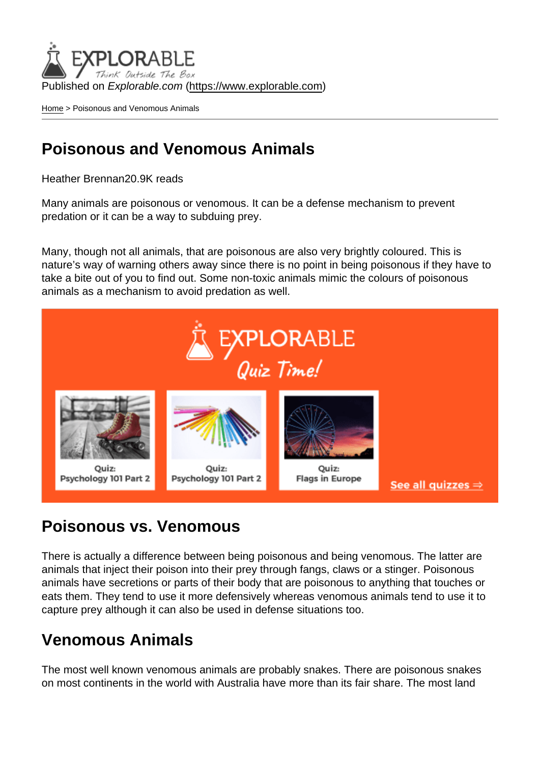Published on Explorable.com (<https://www.explorable.com>)

[Home](https://www.explorable.com/) > Poisonous and Venomous Animals

## Poisonous and Venomous Animals

Heather Brennan20.9K reads

Many animals are poisonous or venomous. It can be a defense mechanism to prevent predation or it can be a way to subduing prey.

Many, though not all animals, that are poisonous are also very brightly coloured. This is nature's way of warning others away since there is no point in being poisonous if they have to take a bite out of you to find out. Some non-toxic animals mimic the colours of poisonous animals as a mechanism to avoid predation as well.

## Poisonous vs. Venomous

There is actually a difference between being poisonous and being venomous. The latter are animals that inject their poison into their prey through fangs, claws or a stinger. Poisonous animals have secretions or parts of their body that are poisonous to anything that touches or eats them. They tend to use it more defensively whereas venomous animals tend to use it to capture prey although it can also be used in defense situations too.

## Venomous Animals

The most well known venomous animals are probably snakes. There are poisonous snakes on most continents in the world with Australia have more than its fair share. The most land